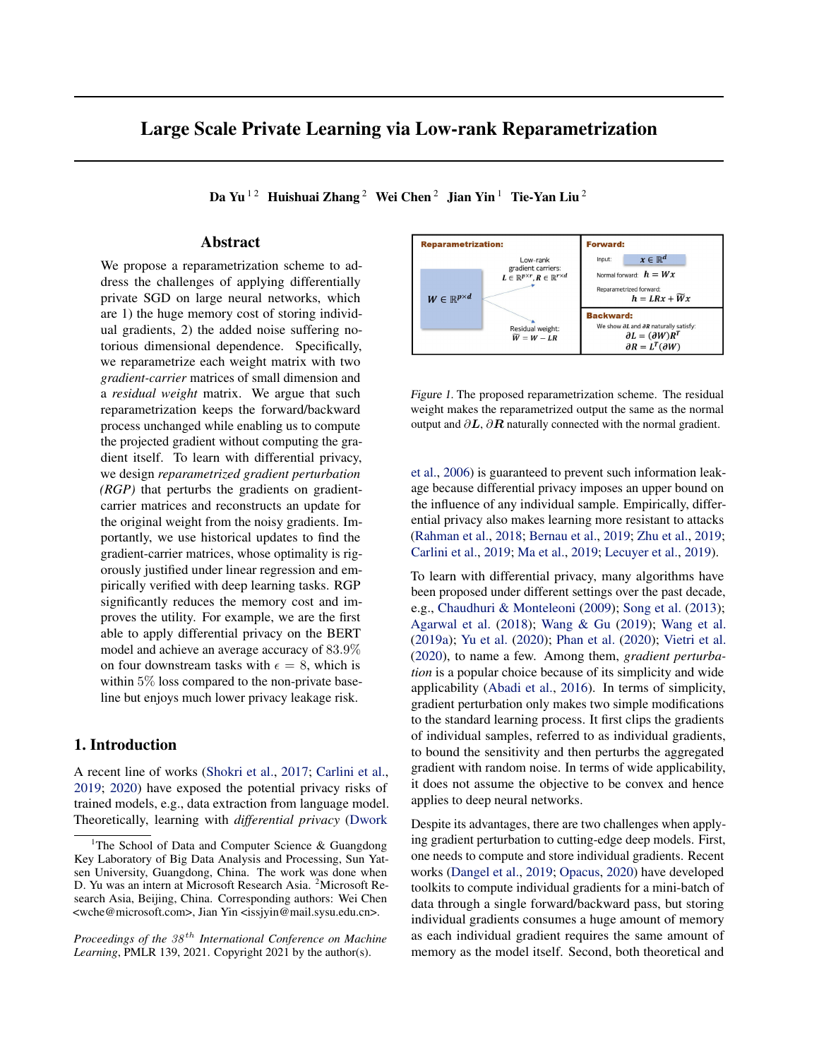# <span id="page-0-0"></span>Large Scale Private Learning via Low-rank Reparametrization

Da Yu<sup>12</sup> Huishuai Zhang<sup>2</sup> Wei Chen<sup>2</sup> Jian Yin<sup>1</sup> Tie-Yan Liu<sup>2</sup>

# Abstract

We propose a reparametrization scheme to address the challenges of applying differentially private SGD on large neural networks, which are 1) the huge memory cost of storing individual gradients, 2) the added noise suffering notorious dimensional dependence. Specifically, we reparametrize each weight matrix with two *gradient-carrier* matrices of small dimension and a *residual weight* matrix. We argue that such reparametrization keeps the forward/backward process unchanged while enabling us to compute the projected gradient without computing the gradient itself. To learn with differential privacy, we design *reparametrized gradient perturbation (RGP)* that perturbs the gradients on gradientcarrier matrices and reconstructs an update for the original weight from the noisy gradients. Importantly, we use historical updates to find the gradient-carrier matrices, whose optimality is rigorously justified under linear regression and empirically verified with deep learning tasks. RGP significantly reduces the memory cost and improves the utility. For example, we are the first able to apply differential privacy on the BERT model and achieve an average accuracy of 83.9% on four downstream tasks with  $\epsilon = 8$ , which is within 5% loss compared to the non-private baseline but enjoys much lower privacy leakage risk.

# 1. Introduction

A recent line of works [\(Shokri et al.,](#page-10-0) [2017;](#page-10-0) [Carlini et al.,](#page-8-0) [2019;](#page-8-0) [2020\)](#page-8-0) have exposed the potential privacy risks of trained models, e.g., data extraction from language model. Theoretically, learning with *differential privacy* [\(Dwork](#page-9-0)



Figure 1. The proposed reparametrization scheme. The residual weight makes the reparametrized output the same as the normal output and  $\partial L$ ,  $\partial R$  naturally connected with the normal gradient.

[et al.,](#page-9-0) [2006\)](#page-9-0) is guaranteed to prevent such information leakage because differential privacy imposes an upper bound on the influence of any individual sample. Empirically, differential privacy also makes learning more resistant to attacks [\(Rahman et al.,](#page-9-0) [2018;](#page-9-0) [Bernau et al.,](#page-8-0) [2019;](#page-8-0) [Zhu et al.,](#page-10-0) [2019;](#page-10-0) [Carlini et al.,](#page-8-0) [2019;](#page-8-0) [Ma et al.,](#page-9-0) [2019;](#page-9-0) [Lecuyer et al.,](#page-9-0) [2019\)](#page-9-0).

To learn with differential privacy, many algorithms have been proposed under different settings over the past decade, e.g., [Chaudhuri & Monteleoni](#page-8-0) [\(2009\)](#page-8-0); [Song et al.](#page-10-0) [\(2013\)](#page-10-0); [Agarwal et al.](#page-8-0) [\(2018\)](#page-8-0); [Wang & Gu](#page-10-0) [\(2019\)](#page-10-0); [Wang et al.](#page-10-0) [\(2019a\)](#page-10-0); [Yu et al.](#page-10-0) [\(2020\)](#page-10-0); [Phan et al.](#page-9-0) [\(2020\)](#page-9-0); [Vietri et al.](#page-10-0) [\(2020\)](#page-10-0), to name a few. Among them, *gradient perturbation* is a popular choice because of its simplicity and wide applicability [\(Abadi et al.,](#page-8-0) [2016\)](#page-8-0). In terms of simplicity, gradient perturbation only makes two simple modifications to the standard learning process. It first clips the gradients of individual samples, referred to as individual gradients, to bound the sensitivity and then perturbs the aggregated gradient with random noise. In terms of wide applicability, it does not assume the objective to be convex and hence applies to deep neural networks.

Despite its advantages, there are two challenges when applying gradient perturbation to cutting-edge deep models. First, one needs to compute and store individual gradients. Recent works [\(Dangel et al.,](#page-8-0) [2019;](#page-8-0) [Opacus,](#page-9-0) [2020\)](#page-9-0) have developed toolkits to compute individual gradients for a mini-batch of data through a single forward/backward pass, but storing individual gradients consumes a huge amount of memory as each individual gradient requires the same amount of memory as the model itself. Second, both theoretical and

<sup>&</sup>lt;sup>1</sup>[The School of Data and Computer Science & Guangdong](#page-9-0) [Key Laboratory of Big Data Analysis and Processing, Sun Yat](#page-9-0)[sen University, Guangdong, China. The work was done when](#page-9-0) [D. Yu was an intern at Microsoft Research Asia.](#page-9-0) <sup>2</sup>Microsoft Re[search Asia, Beijing, China. Corresponding authors: Wei Chen](#page-9-0) [<wche@microsoft.com>, Jian Yin <issjyin@mail.sysu.edu.cn>.](#page-9-0)

*Proceedings of [th](#page-9-0)e*  $38<sup>th</sup>$  *[International Conference on Machine](#page-9-0) Learning*[, PMLR 139, 2021. Copyright 2021 by the author\(s\).](#page-9-0)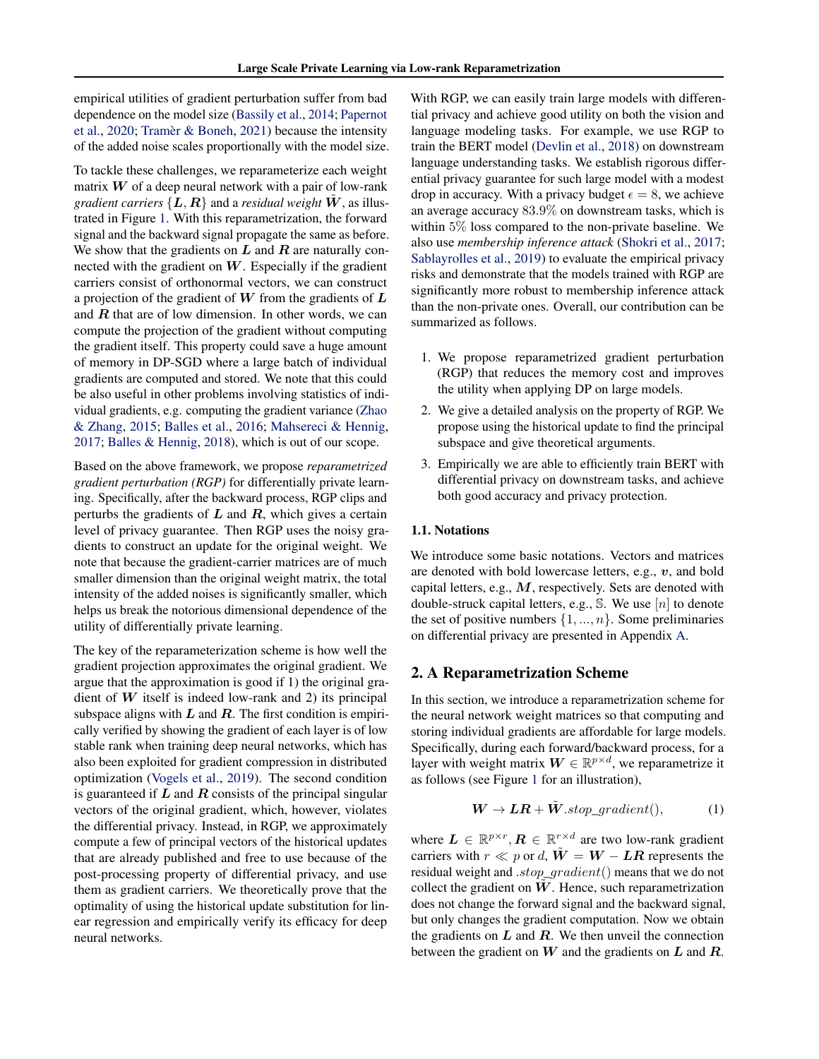<span id="page-1-0"></span>empirical utilities of gradient perturbation suffer from bad dependence on the model size [\(Bassily et al.,](#page-8-0) [2014;](#page-8-0) [Papernot](#page-9-0) [et al.,](#page-9-0) [2020;](#page-9-0) [Tramèr & Boneh,](#page-10-0) [2021\)](#page-10-0) because the intensity of the added noise scales proportionally with the model size.

To tackle these challenges, we reparameterize each weight matrix  $W$  of a deep neural network with a pair of low-rank *gradient carriers*  $\{L, R\}$  and a *residual weight*  $\hat{W}$ , as illustrated in Figure [1.](#page-0-0) With this reparametrization, the forward signal and the backward signal propagate the same as before. We show that the gradients on  $L$  and  $R$  are naturally connected with the gradient on  $W$ . Especially if the gradient carriers consist of orthonormal vectors, we can construct a projection of the gradient of  $W$  from the gradients of  $L$ and  $R$  that are of low dimension. In other words, we can compute the projection of the gradient without computing the gradient itself. This property could save a huge amount of memory in DP-SGD where a large batch of individual gradients are computed and stored. We note that this could be also useful in other problems involving statistics of individual gradients, e.g. computing the gradient variance [\(Zhao](#page-10-0) [& Zhang,](#page-10-0) [2015;](#page-10-0) [Balles et al.,](#page-8-0) [2016;](#page-8-0) [Mahsereci & Hennig,](#page-9-0) [2017;](#page-9-0) [Balles & Hennig,](#page-8-0) [2018\)](#page-8-0), which is out of our scope.

Based on the above framework, we propose *reparametrized gradient perturbation (RGP)* for differentially private learning. Specifically, after the backward process, RGP clips and perturbs the gradients of  $L$  and  $R$ , which gives a certain level of privacy guarantee. Then RGP uses the noisy gradients to construct an update for the original weight. We note that because the gradient-carrier matrices are of much smaller dimension than the original weight matrix, the total intensity of the added noises is significantly smaller, which helps us break the notorious dimensional dependence of the utility of differentially private learning.

The key of the reparameterization scheme is how well the gradient projection approximates the original gradient. We argue that the approximation is good if 1) the original gradient of  $W$  itself is indeed low-rank and 2) its principal subspace aligns with  $L$  and  $R$ . The first condition is empirically verified by showing the gradient of each layer is of low stable rank when training deep neural networks, which has also been exploited for gradient compression in distributed optimization [\(Vogels et al.,](#page-10-0) [2019\)](#page-10-0). The second condition is guaranteed if  $L$  and  $R$  consists of the principal singular vectors of the original gradient, which, however, violates the differential privacy. Instead, in RGP, we approximately compute a few of principal vectors of the historical updates that are already published and free to use because of the post-processing property of differential privacy, and use them as gradient carriers. We theoretically prove that the optimality of using the historical update substitution for linear regression and empirically verify its efficacy for deep neural networks.

With RGP, we can easily train large models with differential privacy and achieve good utility on both the vision and language modeling tasks. For example, we use RGP to train the BERT model [\(Devlin et al.,](#page-9-0) [2018\)](#page-9-0) on downstream language understanding tasks. We establish rigorous differential privacy guarantee for such large model with a modest drop in accuracy. With a privacy budget  $\epsilon = 8$ , we achieve an average accuracy 83.9% on downstream tasks, which is within 5% loss compared to the non-private baseline. We also use *membership inference attack* [\(Shokri et al.,](#page-10-0) [2017;](#page-10-0) [Sablayrolles et al.,](#page-10-0) [2019\)](#page-10-0) to evaluate the empirical privacy risks and demonstrate that the models trained with RGP are significantly more robust to membership inference attack than the non-private ones. Overall, our contribution can be summarized as follows.

- 1. We propose reparametrized gradient perturbation (RGP) that reduces the memory cost and improves the utility when applying DP on large models.
- 2. We give a detailed analysis on the property of RGP. We propose using the historical update to find the principal subspace and give theoretical arguments.
- 3. Empirically we are able to efficiently train BERT with differential privacy on downstream tasks, and achieve both good accuracy and privacy protection.

## 1.1. Notations

We introduce some basic notations. Vectors and matrices are denoted with bold lowercase letters, e.g.,  $v$ , and bold capital letters, e.g.,  $M$ , respectively. Sets are denoted with double-struck capital letters, e.g.,  $\mathbb{S}$ . We use  $[n]$  to denote the set of positive numbers  $\{1, ..., n\}$ . Some preliminaries on differential privacy are presented in Appendix A.

## 2. A Reparametrization Scheme

In this section, we introduce a reparametrization scheme for the neural network weight matrices so that computing and storing individual gradients are affordable for large models. Specifically, during each forward/backward process, for a layer with weight matrix  $\mathbf{W} \in \mathbb{R}^{p \times d}$ , we reparametrize it as follows (see Figure [1](#page-0-0) for an illustration),

$$
\mathbf{W} \to \mathbf{LR} + \tilde{\mathbf{W}}. stop\_gradient(), \tag{1}
$$

where  $\mathbf{L} \in \mathbb{R}^{p \times r}$ ,  $\mathbf{R} \in \mathbb{R}^{r \times d}$  are two low-rank gradient carriers with  $r \ll p$  or d,  $\tilde{W} = W - LR$  represents the residual weight and .stop\_gradient() means that we do not collect the gradient on  $W$ . Hence, such reparametrization does not change the forward signal and the backward signal, but only changes the gradient computation. Now we obtain the gradients on  $L$  and  $R$ . We then unveil the connection between the gradient on  $W$  and the gradients on  $L$  and  $R$ .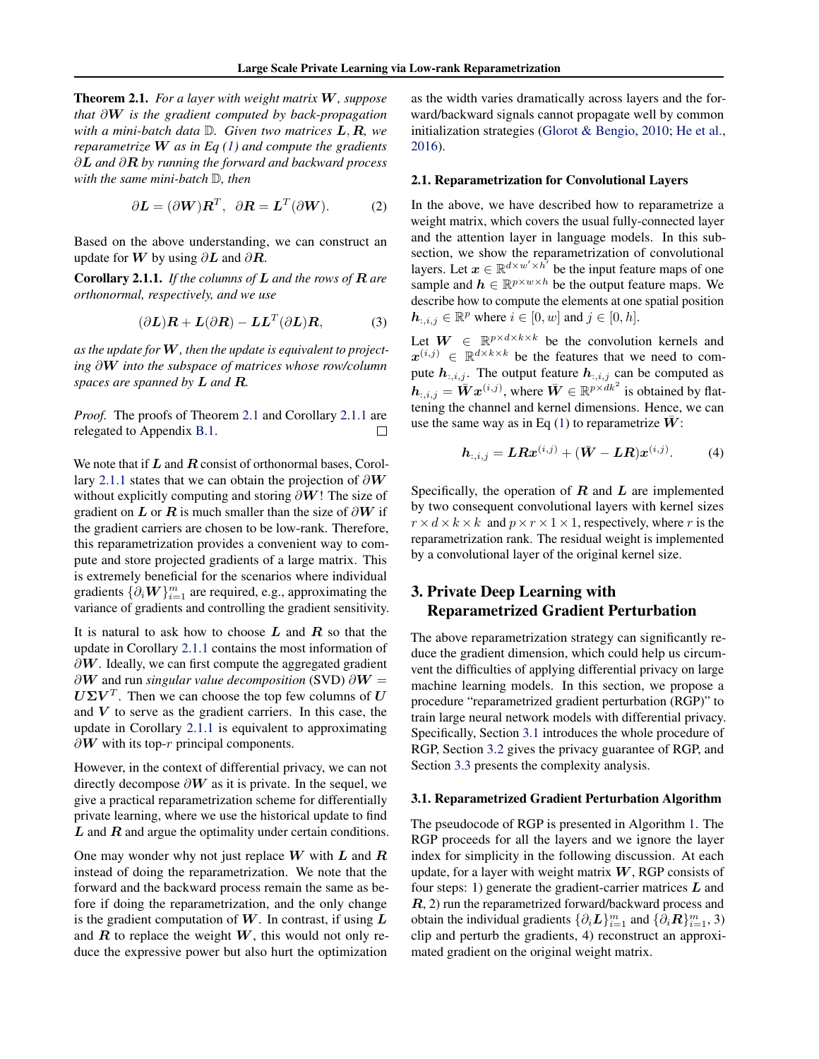<span id="page-2-0"></span>Theorem 2.1. *For a layer with weight matrix* W*, suppose that* ∂W *is the gradient computed by back-propagation with a mini-batch data* D*. Given two matrices* L, R*, we reparametrize* W *as in Eq [\(1\)](#page-1-0) and compute the gradients* ∂L *and* ∂R *by running the forward and backward process with the same mini-batch* D*, then*

$$
\partial \mathbf{L} = (\partial \mathbf{W}) \mathbf{R}^T, \ \ \partial \mathbf{R} = \mathbf{L}^T (\partial \mathbf{W}). \tag{2}
$$

Based on the above understanding, we can construct an update for W by using  $\partial L$  and  $\partial R$ .

Corollary 2.1.1. *If the columns of* L *and the rows of* R *are orthonormal, respectively, and we use*

$$
(\partial \mathbf{L})\mathbf{R} + \mathbf{L}(\partial \mathbf{R}) - \mathbf{L}\mathbf{L}^T(\partial \mathbf{L})\mathbf{R},
$$
 (3)

*as the update for* W*, then the update is equivalent to projecting* ∂W *into the subspace of matrices whose row/column spaces are spanned by* L *and* R*.*

*Proof.* The proofs of Theorem 2.1 and Corollary 2.1.1 are relegated to Appendix B.1. П

We note that if  $L$  and  $R$  consist of orthonormal bases, Corollary 2.1.1 states that we can obtain the projection of  $\partial W$ without explicitly computing and storing  $\partial W$ ! The size of gradient on L or R is much smaller than the size of  $\partial W$  if the gradient carriers are chosen to be low-rank. Therefore, this reparametrization provides a convenient way to compute and store projected gradients of a large matrix. This is extremely beneficial for the scenarios where individual gradients  $\{\partial_i \bm{W}\}_{i=1}^m$  are required, e.g., approximating the variance of gradients and controlling the gradient sensitivity.

It is natural to ask how to choose  $L$  and  $R$  so that the update in Corollary 2.1.1 contains the most information of  $\partial W$ . Ideally, we can first compute the aggregated gradient  $\partial W$  and run *singular value decomposition* (SVD)  $\partial W =$  $U\Sigma V^T$ . Then we can choose the top few columns of U and  $V$  to serve as the gradient carriers. In this case, the update in Corollary 2.1.1 is equivalent to approximating  $\partial W$  with its top-r principal components.

However, in the context of differential privacy, we can not directly decompose  $\partial W$  as it is private. In the sequel, we give a practical reparametrization scheme for differentially private learning, where we use the historical update to find  $L$  and  $R$  and argue the optimality under certain conditions.

One may wonder why not just replace  $W$  with  $L$  and  $R$ instead of doing the reparametrization. We note that the forward and the backward process remain the same as before if doing the reparametrization, and the only change is the gradient computation of  $W$ . In contrast, if using  $L$ and  $R$  to replace the weight  $W$ , this would not only reduce the expressive power but also hurt the optimization

as the width varies dramatically across layers and the forward/backward signals cannot propagate well by common initialization strategies [\(Glorot & Bengio,](#page-9-0) [2010;](#page-9-0) [He et al.,](#page-9-0) [2016\)](#page-9-0).

#### 2.1. Reparametrization for Convolutional Layers

In the above, we have described how to reparametrize a weight matrix, which covers the usual fully-connected layer and the attention layer in language models. In this subsection, we show the reparametrization of convolutional layers. Let  $x \in \mathbb{R}^{d \times w' \times h'}$  be the input feature maps of one sample and  $h \in \mathbb{R}^{p \times w \times h}$  be the output feature maps. We describe how to compute the elements at one spatial position  $h_{:,i,j} \in \mathbb{R}^p$  where  $i \in [0, w]$  and  $j \in [0, h]$ .

Let  $W \in \mathbb{R}^{p \times d \times k \times k}$  be the convolution kernels and  $x^{(i,j)} \in \mathbb{R}^{d \times k \times k}$  be the features that we need to compute  $h_{:,i,j}$ . The output feature  $h_{:,i,j}$  can be computed as  $h_{:,i,j} = \overline{\mathbf{W}} \mathbf{x}^{(i,j)}$ , where  $\overline{\mathbf{W}} \in \mathbb{R}^{p \times d k^2}$  is obtained by flattening the channel and kernel dimensions. Hence, we can use the same way as in Eq  $(1)$  to reparametrize  $W$ :

$$
h_{:,i,j} = LRx^{(i,j)} + (\bar{W} - LR)x^{(i,j)}.
$$
 (4)

Specifically, the operation of  $R$  and  $L$  are implemented by two consequent convolutional layers with kernel sizes  $r \times d \times k \times k$  and  $p \times r \times 1 \times 1$ , respectively, where r is the reparametrization rank. The residual weight is implemented by a convolutional layer of the original kernel size.

# 3. Private Deep Learning with Reparametrized Gradient Perturbation

The above reparametrization strategy can significantly reduce the gradient dimension, which could help us circumvent the difficulties of applying differential privacy on large machine learning models. In this section, we propose a procedure "reparametrized gradient perturbation (RGP)" to train large neural network models with differential privacy. Specifically, Section 3.1 introduces the whole procedure of RGP, Section [3.2](#page-3-0) gives the privacy guarantee of RGP, and Section [3.3](#page-4-0) presents the complexity analysis.

#### 3.1. Reparametrized Gradient Perturbation Algorithm

The pseudocode of RGP is presented in Algorithm [1.](#page-3-0) The RGP proceeds for all the layers and we ignore the layer index for simplicity in the following discussion. At each update, for a layer with weight matrix  $W$ , RGP consists of four steps: 1) generate the gradient-carrier matrices  $L$  and  $R$ , 2) run the reparametrized forward/backward process and obtain the individual gradients  $\{\partial_i \mathbf{L}\}_{i=1}^m$  and  $\{\partial_i \mathbf{R}\}_{i=1}^m$ , 3) clip and perturb the gradients, 4) reconstruct an approximated gradient on the original weight matrix.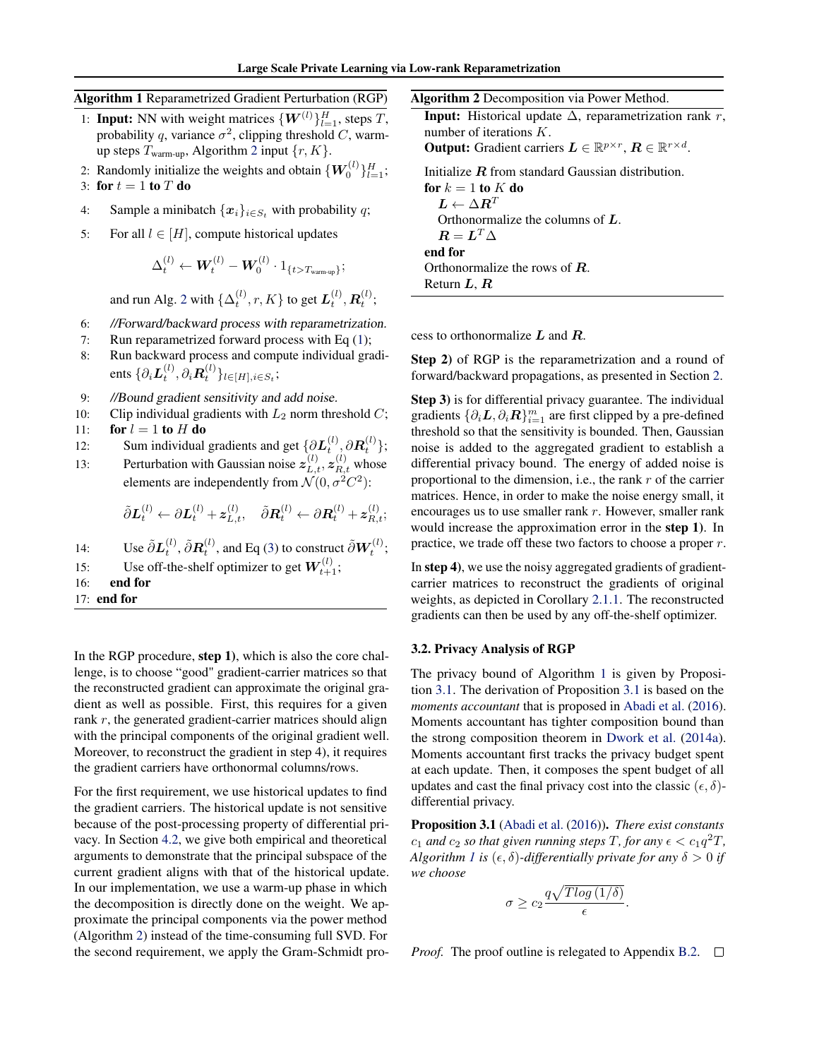# <span id="page-3-0"></span>Algorithm 1 Reparametrized Gradient Perturbation (RGP)

- 1: **Input:** NN with weight matrices  $\{W^{(l)}\}_{l=1}^H$ , steps T, probability q, variance  $\sigma^2$ , clipping threshold C, warmup steps  $T_{\text{warm-up}}$ , Algorithm 2 input  $\{r, K\}$ .
- 2: Randomly initialize the weights and obtain  $\{W_0^{(l)}\}_{l=1}^H$ ; 3: for  $t = 1$  to  $T$  do
- 4: Sample a minibatch  $\{x_i\}_{i \in S_t}$  with probability q;
- 5: For all  $l \in [H]$ , compute historical updates

$$
\Delta_t^{(l)} \leftarrow \boldsymbol{W}_t^{(l)} - \boldsymbol{W}_0^{(l)} \cdot 1_{\{t>T_{\text{warm-up}}\}};
$$

and run Alg. 2 with  $\{\Delta_t^{(l)}, r, K\}$  to get  $\boldsymbol{L}_t^{(l)}, \boldsymbol{R}_t^{(l)};$ 

- 6: //Forward/backward process with reparametrization.
- 7: Run reparametrized forward process with Eq [\(1\)](#page-1-0);
- 8: Run backward process and compute individual gradients  $\{\partial_i \mathbf{L}_t^{(l)}, \partial_i \mathbf{R}_t^{(l)}\}_{l \in [H], i \in S_t};$
- 9: //Bound gradient sensitivity and add noise.
- 10: Clip individual gradients with  $L_2$  norm threshold  $C$ ;
- 11: for  $l = 1$  to H do
- 12: Sum individual gradients and get  $\{\partial L_t^{(l)}, \partial R_t^{(l)}\};$
- 13: Perturbation with Gaussian noise  $z_{L,t}^{(l)}$ ,  $z_{R,t}^{(l)}$  whose elements are independently from  $\mathcal{N}(0, \sigma^2 C^2)$ :

$$
\tilde{\partial} \boldsymbol{L}_t^{(l)} \leftarrow \partial \boldsymbol{L}_t^{(l)} + \boldsymbol{z}_{L,t}^{(l)}, \quad \tilde{\partial} \boldsymbol{R}_t^{(l)} \leftarrow \partial \boldsymbol{R}_t^{(l)} + \boldsymbol{z}_{R,t}^{(l)};
$$

- 14: Use  $\tilde{\partial}L_t^{(l)}, \tilde{\partial}R_t^{(l)}$ , and Eq [\(3\)](#page-2-0) to construct  $\tilde{\partial}W_t^{(l)}$ ;
- 15: Use off-the-shelf optimizer to get  $W_{t+1}^{(l)}$ ;
- 16: end for

17: end for

In the RGP procedure, step 1), which is also the core challenge, is to choose "good" gradient-carrier matrices so that the reconstructed gradient can approximate the original gradient as well as possible. First, this requires for a given rank r, the generated gradient-carrier matrices should align with the principal components of the original gradient well. Moreover, to reconstruct the gradient in step 4), it requires the gradient carriers have orthonormal columns/rows.

For the first requirement, we use historical updates to find the gradient carriers. The historical update is not sensitive because of the post-processing property of differential privacy. In Section [4.2,](#page-4-0) we give both empirical and theoretical arguments to demonstrate that the principal subspace of the current gradient aligns with that of the historical update. In our implementation, we use a warm-up phase in which the decomposition is directly done on the weight. We approximate the principal components via the power method (Algorithm 2) instead of the time-consuming full SVD. For the second requirement, we apply the Gram-Schmidt pro-

| Algorithm 2 Decomposition via Power Method.                                                          |
|------------------------------------------------------------------------------------------------------|
| <b>Input:</b> Historical update $\Delta$ , reparametrization rank r,                                 |
| number of iterations $K$ .                                                                           |
| <b>Output:</b> Gradient carriers $L \in \mathbb{R}^{p \times r}$ , $R \in \mathbb{R}^{r \times d}$ . |
| Initialize $R$ from standard Gaussian distribution.                                                  |
| for $k=1$ to K do                                                                                    |
| $\boldsymbol{L} \leftarrow \Delta \boldsymbol{R}^T$                                                  |
| Orthonormalize the columns of $L$ .                                                                  |
| $R = L^T \Lambda$                                                                                    |
| end for                                                                                              |

cess to orthonormalize L and R.

Return  $L, R$ 

Orthonormalize the rows of R.

Step 2) of RGP is the reparametrization and a round of forward/backward propagations, as presented in Section [2.](#page-1-0)

Step 3) is for differential privacy guarantee. The individual gradients  $\{\partial_i \bm{L}, \partial_i \bm{R}\}_{i=1}^m$  are first clipped by a pre-defined threshold so that the sensitivity is bounded. Then, Gaussian noise is added to the aggregated gradient to establish a differential privacy bound. The energy of added noise is proportional to the dimension, i.e., the rank  $r$  of the carrier matrices. Hence, in order to make the noise energy small, it encourages us to use smaller rank  $r$ . However, smaller rank would increase the approximation error in the step 1). In practice, we trade off these two factors to choose a proper  $r$ .

In step 4), we use the noisy aggregated gradients of gradientcarrier matrices to reconstruct the gradients of original weights, as depicted in Corollary [2.1.1.](#page-2-0) The reconstructed gradients can then be used by any off-the-shelf optimizer.

#### 3.2. Privacy Analysis of RGP

The privacy bound of Algorithm 1 is given by Proposition 3.1. The derivation of Proposition 3.1 is based on the *moments accountant* that is proposed in [Abadi et al.](#page-8-0) [\(2016\)](#page-8-0). Moments accountant has tighter composition bound than the strong composition theorem in [Dwork et al.](#page-9-0) [\(2014a\)](#page-9-0). Moments accountant first tracks the privacy budget spent at each update. Then, it composes the spent budget of all updates and cast the final privacy cost into the classic  $(\epsilon, \delta)$ differential privacy.

Proposition 3.1 [\(Abadi et al.](#page-8-0) [\(2016\)](#page-8-0)). *There exist constants*  $c_1$  and  $c_2$  so that given running steps T, for any  $\epsilon < c_1 q^2 T$ , *Algorithm 1 is* ( $\epsilon$ ,  $\delta$ )-differentially private for any  $\delta > 0$  *if we choose*

$$
\sigma \geq c_2 \frac{q\sqrt{Tlog\left(1/\delta\right)}}{\epsilon}.
$$

*Proof.* The proof outline is relegated to Appendix B.2.  $\Box$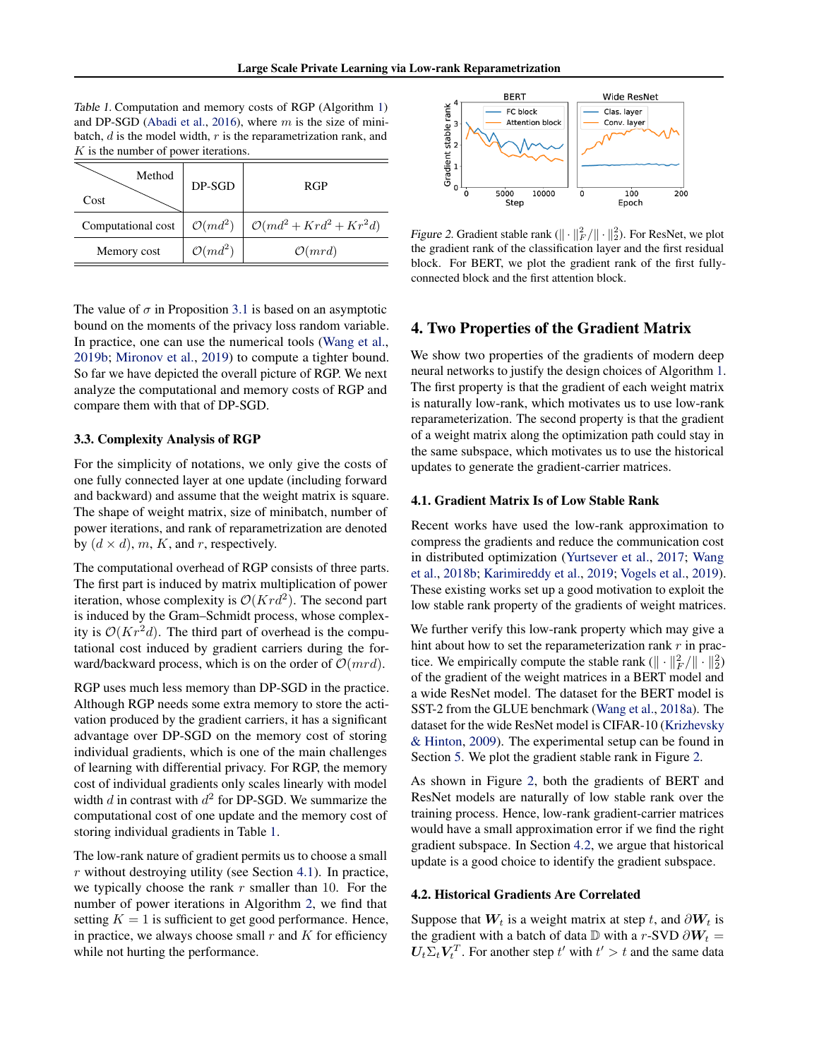<span id="page-4-0"></span>Table 1. Computation and memory costs of RGP (Algorithm [1\)](#page-3-0) and DP-SGD [\(Abadi et al.,](#page-8-0) [2016\)](#page-8-0), where  $m$  is the size of minibatch,  $d$  is the model width,  $r$  is the reparametrization rank, and  $K$  is the number of power iterations.

| Method<br>Cost     | DP-SGD              | <b>RGP</b>                      |
|--------------------|---------------------|---------------------------------|
| Computational cost | $\mathcal{O}(md^2)$ | $\mathcal{O}(md^2+Krd^2+Kr^2d)$ |
| Memory cost        | $\mathcal{O}(md^2)$ | $\mathcal{O}(mrd)$              |

The value of  $\sigma$  in Proposition [3.1](#page-3-0) is based on an asymptotic bound on the moments of the privacy loss random variable. In practice, one can use the numerical tools [\(Wang et al.,](#page-10-0) [2019b;](#page-10-0) [Mironov et al.,](#page-9-0) [2019\)](#page-9-0) to compute a tighter bound. So far we have depicted the overall picture of RGP. We next analyze the computational and memory costs of RGP and compare them with that of DP-SGD.

#### 3.3. Complexity Analysis of RGP

For the simplicity of notations, we only give the costs of one fully connected layer at one update (including forward and backward) and assume that the weight matrix is square. The shape of weight matrix, size of minibatch, number of power iterations, and rank of reparametrization are denoted by  $(d \times d)$ , m, K, and r, respectively.

The computational overhead of RGP consists of three parts. The first part is induced by matrix multiplication of power iteration, whose complexity is  $\mathcal{O}(K r d^2)$ . The second part is induced by the Gram–Schmidt process, whose complexity is  $O(Kr^2d)$ . The third part of overhead is the computational cost induced by gradient carriers during the forward/backward process, which is on the order of  $\mathcal{O}(mrd)$ .

RGP uses much less memory than DP-SGD in the practice. Although RGP needs some extra memory to store the activation produced by the gradient carriers, it has a significant advantage over DP-SGD on the memory cost of storing individual gradients, which is one of the main challenges of learning with differential privacy. For RGP, the memory cost of individual gradients only scales linearly with model width  $d$  in contrast with  $d^2$  for DP-SGD. We summarize the computational cost of one update and the memory cost of storing individual gradients in Table 1.

The low-rank nature of gradient permits us to choose a small  $r$  without destroying utility (see Section 4.1). In practice, we typically choose the rank  $r$  smaller than 10. For the number of power iterations in Algorithm [2,](#page-3-0) we find that setting  $K = 1$  is sufficient to get good performance. Hence, in practice, we always choose small  $r$  and  $K$  for efficiency while not hurting the performance.



Figure 2. Gradient stable rank  $(\|\cdot\|_F^2 / \|\cdot\|_2^2)$ . For ResNet, we plot the gradient rank of the classification layer and the first residual block. For BERT, we plot the gradient rank of the first fullyconnected block and the first attention block.

# 4. Two Properties of the Gradient Matrix

We show two properties of the gradients of modern deep neural networks to justify the design choices of Algorithm [1.](#page-3-0) The first property is that the gradient of each weight matrix is naturally low-rank, which motivates us to use low-rank reparameterization. The second property is that the gradient of a weight matrix along the optimization path could stay in the same subspace, which motivates us to use the historical updates to generate the gradient-carrier matrices.

#### 4.1. Gradient Matrix Is of Low Stable Rank

Recent works have used the low-rank approximation to compress the gradients and reduce the communication cost in distributed optimization [\(Yurtsever et al.,](#page-10-0) [2017;](#page-10-0) [Wang](#page-10-0) [et al.,](#page-10-0) [2018b;](#page-10-0) [Karimireddy et al.,](#page-9-0) [2019;](#page-9-0) [Vogels et al.,](#page-10-0) [2019\)](#page-10-0). These existing works set up a good motivation to exploit the low stable rank property of the gradients of weight matrices.

We further verify this low-rank property which may give a hint about how to set the reparameterization rank  $r$  in practice. We empirically compute the stable rank  $(\| \cdot \|_F^2 / \| \cdot \|_2^2)$ of the gradient of the weight matrices in a BERT model and a wide ResNet model. The dataset for the BERT model is SST-2 from the GLUE benchmark [\(Wang et al.,](#page-10-0) [2018a\)](#page-10-0). The dataset for the wide ResNet model is CIFAR-10 [\(Krizhevsky](#page-9-0) [& Hinton,](#page-9-0) [2009\)](#page-9-0). The experimental setup can be found in Section [5.](#page-5-0) We plot the gradient stable rank in Figure 2.

As shown in Figure 2, both the gradients of BERT and ResNet models are naturally of low stable rank over the training process. Hence, low-rank gradient-carrier matrices would have a small approximation error if we find the right gradient subspace. In Section 4.2, we argue that historical update is a good choice to identify the gradient subspace.

## 4.2. Historical Gradients Are Correlated

Suppose that  $W_t$  is a weight matrix at step t, and  $\partial W_t$  is the gradient with a batch of data D with a r-SVD  $\partial W_t =$  $U_t \Sigma_t V_t^T$ . For another step  $t'$  with  $t' > t$  and the same data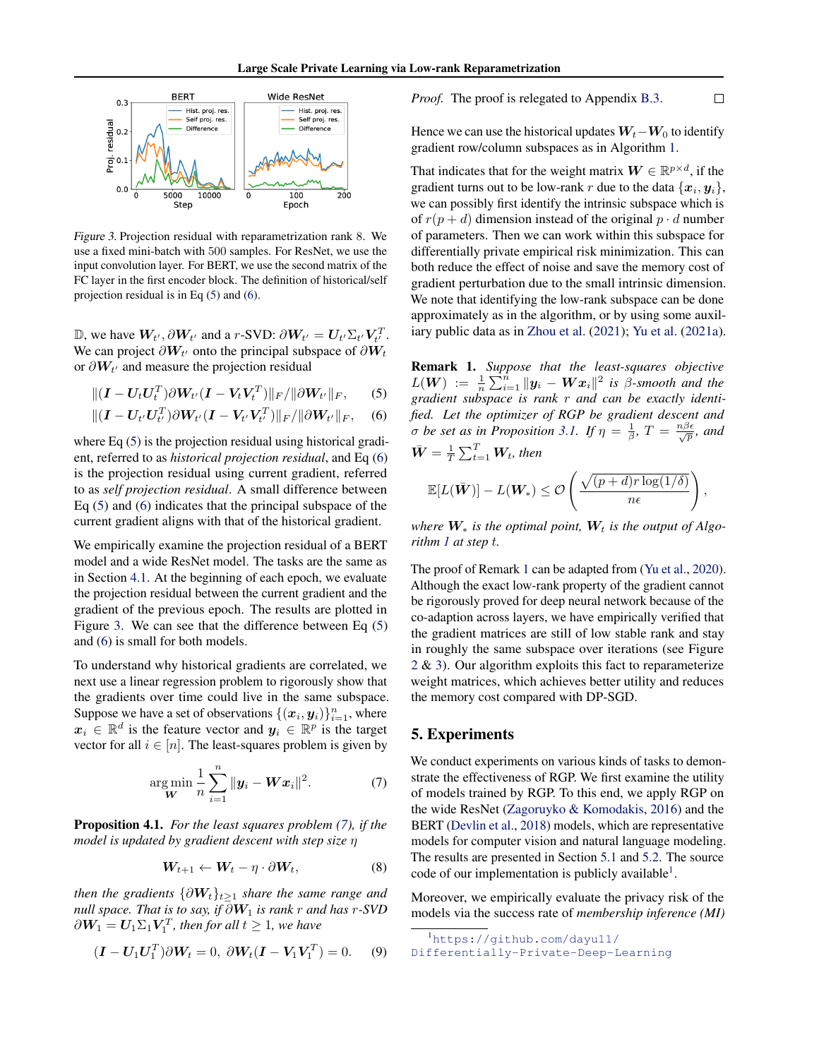<span id="page-5-0"></span>

Figure 3. Projection residual with reparametrization rank 8. We use a fixed mini-batch with 500 samples. For ResNet, we use the input convolution layer. For BERT, we use the second matrix of the FC layer in the first encoder block. The definition of historical/self projection residual is in Eq (5) and (6).

D, we have  $W_{t'}$ , ∂ $W_{t'}$  and a *r*-SVD: ∂ $W_{t'} = U_{t'} \Sigma_{t'} V_{t'}^T$ . We can project  $\partial W_{t'}$  onto the principal subspace of  $\partial W_t$ or  $\partial W_{t'}$  and measure the projection residual

$$
\|(\boldsymbol{I}-\boldsymbol{U}_t\boldsymbol{U}_t^T)\partial \boldsymbol{W}_{t'}(\boldsymbol{I}-\boldsymbol{V}_t\boldsymbol{V}_t^T)\|_F/\|\partial \boldsymbol{W}_{t'}\|_F,\qquad(5)
$$

$$
|| (I - U_{t'} U_{t'}^T) \partial W_{t'} (I - V_{t'} V_{t'}^T) ||_F / || \partial W_{t'} ||_F, \quad (6)
$$

where Eq  $(5)$  is the projection residual using historical gradient, referred to as *historical projection residual*, and Eq (6) is the projection residual using current gradient, referred to as *self projection residual*. A small difference between Eq (5) and (6) indicates that the principal subspace of the current gradient aligns with that of the historical gradient.

We empirically examine the projection residual of a BERT model and a wide ResNet model. The tasks are the same as in Section [4.1.](#page-4-0) At the beginning of each epoch, we evaluate the projection residual between the current gradient and the gradient of the previous epoch. The results are plotted in Figure 3. We can see that the difference between Eq (5) and (6) is small for both models.

To understand why historical gradients are correlated, we next use a linear regression problem to rigorously show that the gradients over time could live in the same subspace. Suppose we have a set of observations  $\{(\boldsymbol{x}_i, \boldsymbol{y}_i)\}_{i=1}^n$ , where  $x_i \in \mathbb{R}^d$  is the feature vector and  $y_i \in \mathbb{R}^p$  is the target vector for all  $i \in [n]$ . The least-squares problem is given by

$$
\underset{\mathbf{W}}{\arg \min} \frac{1}{n} \sum_{i=1}^{n} \|\mathbf{y}_i - \mathbf{W} \mathbf{x}_i\|^2. \tag{7}
$$

Proposition 4.1. *For the least squares problem (7), if the model is updated by gradient descent with step size* η

$$
W_{t+1} \leftarrow W_t - \eta \cdot \partial W_t, \tag{8}
$$

*then the gradients*  $\{\partial W_t\}_{t>1}$  *share the same range and null space. That is to say, if*  $\partial W_1$  *is rank* r *and has* r-SVD  $\partial \boldsymbol{W}_1 = \boldsymbol{U}_1 \Sigma_1 \boldsymbol{V}_1^T$ , then for all  $t \geq 1$ , we have

$$
(\mathbf{I} - \mathbf{U}_1 \mathbf{U}_1^T) \partial \mathbf{W}_t = 0, \ \partial \mathbf{W}_t (\mathbf{I} - \mathbf{V}_1 \mathbf{V}_1^T) = 0. \tag{9}
$$

*Proof.* The proof is relegated to Appendix B.3.  $\Box$ 

Hence we can use the historical updates  $W_t-W_0$  to identify gradient row/column subspaces as in Algorithm [1.](#page-3-0)

That indicates that for the weight matrix  $\mathbf{W} \in \mathbb{R}^{p \times d}$ , if the gradient turns out to be low-rank r due to the data  $\{\boldsymbol{x}_i, \boldsymbol{y}_i\},$ we can possibly first identify the intrinsic subspace which is of  $r(p+d)$  dimension instead of the original  $p \cdot d$  number of parameters. Then we can work within this subspace for differentially private empirical risk minimization. This can both reduce the effect of noise and save the memory cost of gradient perturbation due to the small intrinsic dimension. We note that identifying the low-rank subspace can be done approximately as in the algorithm, or by using some auxiliary public data as in [Zhou et al.](#page-10-0) [\(2021\)](#page-10-0); [Yu et al.](#page-10-0) [\(2021a\)](#page-10-0).

Remark 1. *Suppose that the least-squares objective*  $L(\boldsymbol{W}) \ := \ \frac{1}{n} \sum_{i=1}^{\hat{n}} \| \boldsymbol{y}_i - \boldsymbol{W} \boldsymbol{x}_i \|^2$  is  $\hat{\beta}$ *-smooth and the gradient subspace is rank* r *and can be exactly identified. Let the optimizer of RGP be gradient descent and σ* be set as in Proposition [3.1.](#page-3-0) If  $\eta = \frac{1}{\beta}$ ,  $T = \frac{n\beta\epsilon}{\sqrt{p}}$ , and  $\bar{\bm{W}} = \frac{1}{T} \sum_{t=1}^T \bm{W}_t$ , then

$$
\mathbb{E}[L(\bar{\boldsymbol{W}})] - L(\boldsymbol{W}_*) \leq \mathcal{O}\left(\frac{\sqrt{(p+d)r\log(1/\delta)}}{n\epsilon}\right),\,
$$

*where*  $W_*$  *is the optimal point,*  $W_t$  *is the output of Algorithm [1](#page-3-0) at step* t*.*

The proof of Remark 1 can be adapted from [\(Yu et al.,](#page-10-0) [2020\)](#page-10-0). Although the exact low-rank property of the gradient cannot be rigorously proved for deep neural network because of the co-adaption across layers, we have empirically verified that the gradient matrices are still of low stable rank and stay in roughly the same subspace over iterations (see Figure [2](#page-4-0) & 3). Our algorithm exploits this fact to reparameterize weight matrices, which achieves better utility and reduces the memory cost compared with DP-SGD.

# 5. Experiments

We conduct experiments on various kinds of tasks to demonstrate the effectiveness of RGP. We first examine the utility of models trained by RGP. To this end, we apply RGP on the wide ResNet [\(Zagoruyko & Komodakis,](#page-10-0) [2016\)](#page-10-0) and the BERT [\(Devlin et al.,](#page-9-0) [2018\)](#page-9-0) models, which are representative models for computer vision and natural language modeling. The results are presented in Section [5.1](#page-6-0) and [5.2.](#page-6-0) The source code of our implementation is publicly available<sup>1</sup>.

Moreover, we empirically evaluate the privacy risk of the models via the success rate of *membership inference (MI)*

<sup>1</sup>[https://github.com/dayu11/](https://github.com/dayu11/Differentially-Private-Deep-Learning)

[Differentially-Private-Deep-Learning](https://github.com/dayu11/Differentially-Private-Deep-Learning)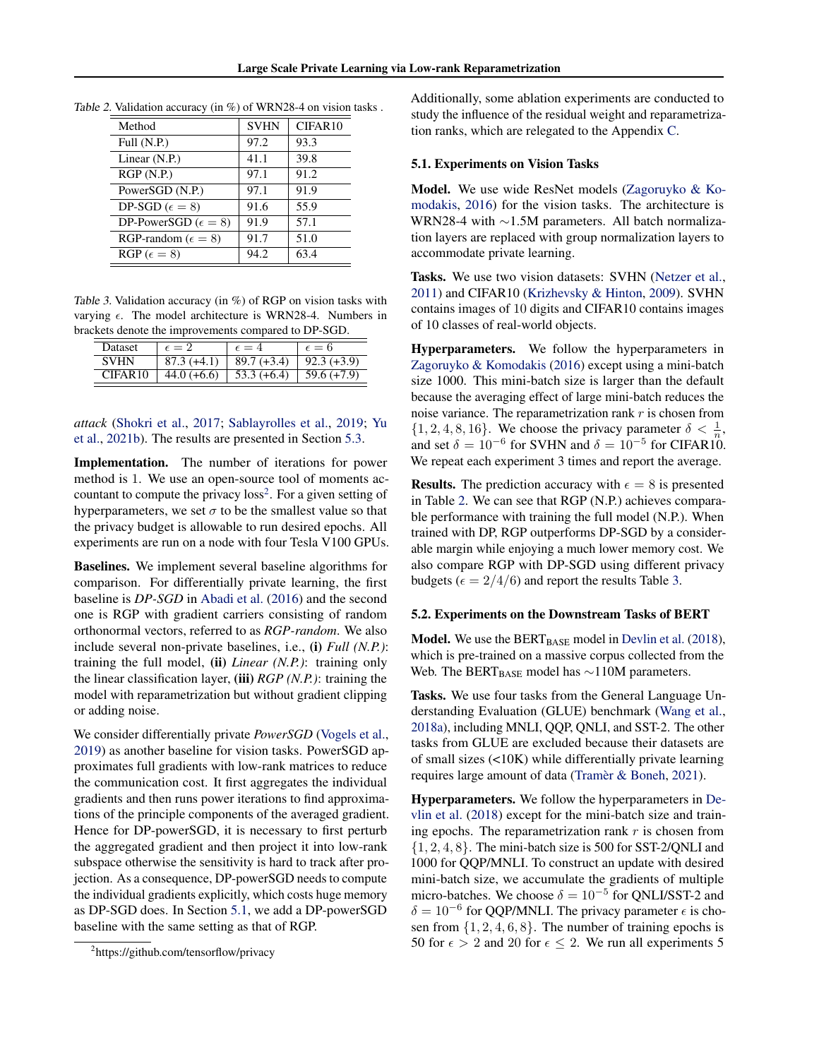| Method                         | <b>SVHN</b> | CIFAR10 |
|--------------------------------|-------------|---------|
| Full $(N.P.)$                  | 97.2        | 93.3    |
| Linear $(N.P.)$                | 41.1        | 39.8    |
| RGP(N.P.)                      | 97.1        | 91.2    |
| PowerSGD (N.P.)                | 97.1        | 91.9    |
| DP-SGD ( $\epsilon = 8$ )      | 91.6        | 55.9    |
| DP-PowerSGD ( $\epsilon = 8$ ) | 91.9        | 57.1    |
| RGP-random ( $\epsilon = 8$ )  | 91.7        | 51.0    |
| $RGP(\epsilon=8)$              | 94.2        | 63.4    |

<span id="page-6-0"></span>

| Table 2. Validation accuracy (in %) of WRN28-4 on vision tasks. |  |  |  |
|-----------------------------------------------------------------|--|--|--|
|-----------------------------------------------------------------|--|--|--|

Table 3. Validation accuracy (in %) of RGP on vision tasks with varying  $\epsilon$ . The model architecture is WRN28-4. Numbers in brackets denote the improvements compared to DP-SGD.

| <b>Dataset</b> | $\epsilon = 2$ | $\epsilon = 4$ | $\epsilon = 6$ |
|----------------|----------------|----------------|----------------|
| <b>SVHN</b>    | $87.3(+4.1)$   | $89.7 (+3.4)$  | $92.3 (+3.9)$  |
| CIFAR10        | $44.0 (+6.6)$  | $53.3 (+6.4)$  | $59.6 (+7.9)$  |
|                |                |                |                |

*attack* [\(Shokri et al.,](#page-10-0) [2017;](#page-10-0) [Sablayrolles et al.,](#page-10-0) [2019;](#page-10-0) [Yu](#page-10-0) [et al.,](#page-10-0) [2021b\)](#page-10-0). The results are presented in Section [5.3.](#page-7-0)

Implementation. The number of iterations for power method is 1. We use an open-source tool of moments accountant to compute the privacy  $loss<sup>2</sup>$ . For a given setting of hyperparameters, we set  $\sigma$  to be the smallest value so that the privacy budget is allowable to run desired epochs. All experiments are run on a node with four Tesla V100 GPUs.

Baselines. We implement several baseline algorithms for comparison. For differentially private learning, the first baseline is *DP-SGD* in [Abadi et al.](#page-8-0) [\(2016\)](#page-8-0) and the second one is RGP with gradient carriers consisting of random orthonormal vectors, referred to as *RGP-random*. We also include several non-private baselines, i.e., (i) *Full (N.P.)*: training the full model, (ii) *Linear* (N.P.): training only the linear classification layer, (iii) *RGP (N.P.)*: training the model with reparametrization but without gradient clipping or adding noise.

We consider differentially private *PowerSGD* [\(Vogels et al.,](#page-10-0) [2019\)](#page-10-0) as another baseline for vision tasks. PowerSGD approximates full gradients with low-rank matrices to reduce the communication cost. It first aggregates the individual gradients and then runs power iterations to find approximations of the principle components of the averaged gradient. Hence for DP-powerSGD, it is necessary to first perturb the aggregated gradient and then project it into low-rank subspace otherwise the sensitivity is hard to track after projection. As a consequence, DP-powerSGD needs to compute the individual gradients explicitly, which costs huge memory as DP-SGD does. In Section 5.1, we add a DP-powerSGD baseline with the same setting as that of RGP.

Additionally, some ablation experiments are conducted to study the influence of the residual weight and reparametrization ranks, which are relegated to the Appendix C.

#### 5.1. Experiments on Vision Tasks

Model. We use wide ResNet models [\(Zagoruyko & Ko](#page-10-0)[modakis,](#page-10-0) [2016\)](#page-10-0) for the vision tasks. The architecture is WRN28-4 with ∼1.5M parameters. All batch normalization layers are replaced with group normalization layers to accommodate private learning.

Tasks. We use two vision datasets: SVHN [\(Netzer et al.,](#page-9-0) [2011\)](#page-9-0) and CIFAR10 [\(Krizhevsky & Hinton,](#page-9-0) [2009\)](#page-9-0). SVHN contains images of 10 digits and CIFAR10 contains images of 10 classes of real-world objects.

Hyperparameters. We follow the hyperparameters in [Zagoruyko & Komodakis](#page-10-0) [\(2016\)](#page-10-0) except using a mini-batch size 1000. This mini-batch size is larger than the default because the averaging effect of large mini-batch reduces the noise variance. The reparametrization rank  $r$  is chosen from  $\{1, 2, 4, 8, 16\}$ . We choose the privacy parameter  $\delta < \frac{1}{n}$ , and set  $\delta = 10^{-6}$  for SVHN and  $\delta = 10^{-5}$  for CIFAR10. We repeat each experiment 3 times and report the average.

**Results.** The prediction accuracy with  $\epsilon = 8$  is presented in Table 2. We can see that RGP (N.P.) achieves comparable performance with training the full model (N.P.). When trained with DP, RGP outperforms DP-SGD by a considerable margin while enjoying a much lower memory cost. We also compare RGP with DP-SGD using different privacy budgets ( $\epsilon = 2/4/6$ ) and report the results Table 3.

#### 5.2. Experiments on the Downstream Tasks of BERT

**Model.** We use the  $BERT_{BASE}$  model in [Devlin et al.](#page-9-0) [\(2018\)](#page-9-0), which is pre-trained on a massive corpus collected from the Web. The BERT<sub>BASE</sub> model has  $\sim$ 110M parameters.

Tasks. We use four tasks from the General Language Understanding Evaluation (GLUE) benchmark [\(Wang et al.,](#page-10-0) [2018a\)](#page-10-0), including MNLI, QQP, QNLI, and SST-2. The other tasks from GLUE are excluded because their datasets are of small sizes (<10K) while differentially private learning requires large amount of data [\(Tramèr & Boneh,](#page-10-0) [2021\)](#page-10-0).

Hyperparameters. We follow the hyperparameters in [De](#page-9-0)[vlin et al.](#page-9-0) [\(2018\)](#page-9-0) except for the mini-batch size and training epochs. The reparametrization rank  $r$  is chosen from  $\{1, 2, 4, 8\}$ . The mini-batch size is 500 for SST-2/QNLI and 1000 for QQP/MNLI. To construct an update with desired mini-batch size, we accumulate the gradients of multiple micro-batches. We choose  $\delta = 10^{-5}$  for QNLI/SST-2 and  $\delta = 10^{-6}$  for QQP/MNLI. The privacy parameter  $\epsilon$  is chosen from  $\{1, 2, 4, 6, 8\}$ . The number of training epochs is 50 for  $\epsilon > 2$  and 20 for  $\epsilon \leq 2$ . We run all experiments 5

<sup>&</sup>lt;sup>2</sup>https://github.com/tensorflow/privacy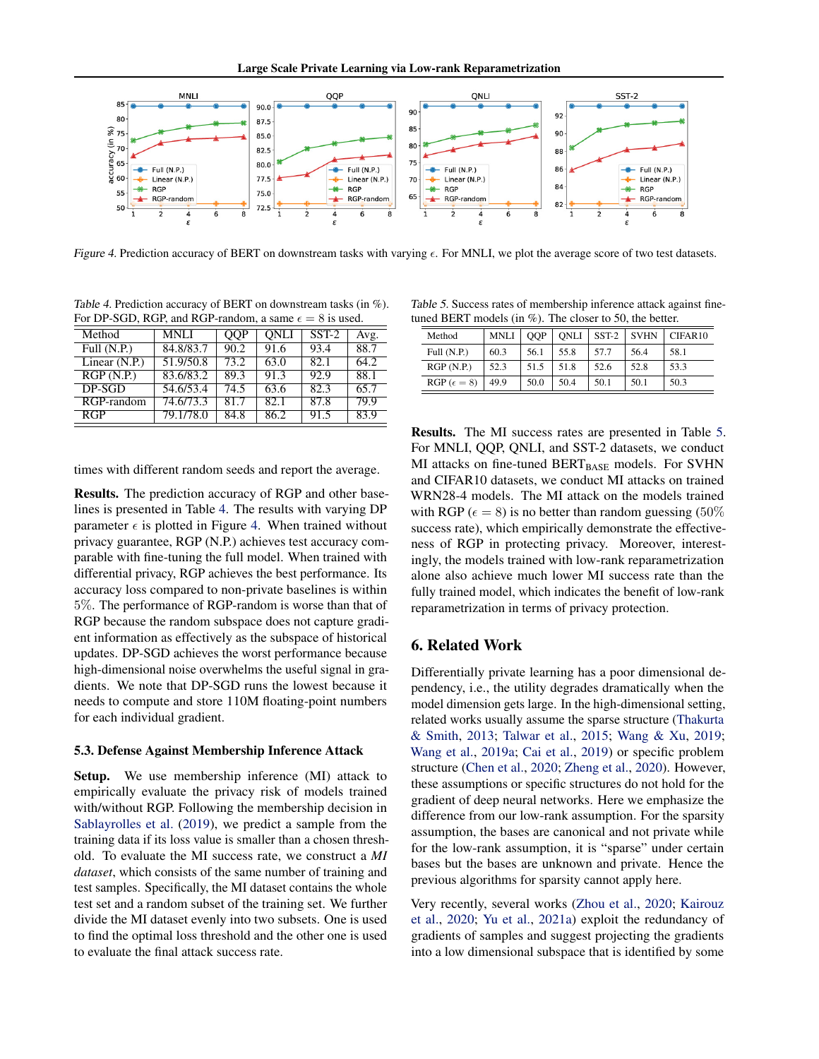Large Scale Private Learning via Low-rank Reparametrization

<span id="page-7-0"></span>

Figure 4. Prediction accuracy of BERT on downstream tasks with varying  $\epsilon$ . For MNLI, we plot the average score of two test datasets.

Table 4. Prediction accuracy of BERT on downstream tasks (in %). For DP-SGD, RGP, and RGP-random, a same  $\epsilon = 8$  is used.

| Method          | <b>MNLI</b> | QQP  | <b>ONLI</b> | $SST-2$ | Avg. |
|-----------------|-------------|------|-------------|---------|------|
| Full $(N.P.)$   | 84.8/83.7   | 90.2 | 91.6        | 93.4    | 88.7 |
| Linear $(N.P.)$ | 51.9/50.8   | 73.2 | 63.0        | 82.1    | 64.2 |
| RGP(N.P.)       | 83.6/83.2   | 89.3 | 91.3        | 92.9    | 88.1 |
| DP-SGD          | 54.6/53.4   | 74.5 | 63.6        | 82.3    | 65.7 |
| RGP-random      | 74.6/73.3   | 81.7 | 82.1        | 87.8    | 79.9 |
| <b>RGP</b>      | 79.1/78.0   | 84.8 | 86.2        | 91.5    | 83.9 |

times with different random seeds and report the average.

Results. The prediction accuracy of RGP and other baselines is presented in Table 4. The results with varying DP parameter  $\epsilon$  is plotted in Figure 4. When trained without privacy guarantee, RGP (N.P.) achieves test accuracy comparable with fine-tuning the full model. When trained with differential privacy, RGP achieves the best performance. Its accuracy loss compared to non-private baselines is within 5%. The performance of RGP-random is worse than that of RGP because the random subspace does not capture gradient information as effectively as the subspace of historical updates. DP-SGD achieves the worst performance because high-dimensional noise overwhelms the useful signal in gradients. We note that DP-SGD runs the lowest because it needs to compute and store 110M floating-point numbers for each individual gradient.

#### 5.3. Defense Against Membership Inference Attack

Setup. We use membership inference (MI) attack to empirically evaluate the privacy risk of models trained with/without RGP. Following the membership decision in [Sablayrolles et al.](#page-10-0) [\(2019\)](#page-10-0), we predict a sample from the training data if its loss value is smaller than a chosen threshold. To evaluate the MI success rate, we construct a *MI dataset*, which consists of the same number of training and test samples. Specifically, the MI dataset contains the whole test set and a random subset of the training set. We further divide the MI dataset evenly into two subsets. One is used to find the optimal loss threshold and the other one is used to evaluate the final attack success rate.

Table 5. Success rates of membership inference attack against finetuned BERT models (in  $\%$ ). The closer to 50, the better.

| ance DERT moders (in $/2$ ). The cross to $30$ , the oction. |             |            |      |         |             |         |
|--------------------------------------------------------------|-------------|------------|------|---------|-------------|---------|
| Method                                                       | <b>MNLI</b> | <b>OOP</b> | ONLI | $SST-2$ | <b>SVHN</b> | CIFAR10 |
| Full $(N.P.)$                                                | 60.3        | 56.1       | 55.8 | 57.7    | 56.4        | 58.1    |
| RGP(N.P.)                                                    | 52.3        | 51.5       | 51.8 | 52.6    | 52.8        | 53.3    |
| $RGP (\epsilon = 8)$                                         | 49.9        | 50.0       | 50.4 | 50.1    | 50.1        | 50.3    |

Results. The MI success rates are presented in Table 5. For MNLI, QQP, QNLI, and SST-2 datasets, we conduct MI attacks on fine-tuned  $BERT_{BASE}$  models. For SVHN and CIFAR10 datasets, we conduct MI attacks on trained WRN28-4 models. The MI attack on the models trained with RGP ( $\epsilon = 8$ ) is no better than random guessing (50%) success rate), which empirically demonstrate the effectiveness of RGP in protecting privacy. Moreover, interestingly, the models trained with low-rank reparametrization alone also achieve much lower MI success rate than the fully trained model, which indicates the benefit of low-rank reparametrization in terms of privacy protection.

# 6. Related Work

Differentially private learning has a poor dimensional dependency, i.e., the utility degrades dramatically when the model dimension gets large. In the high-dimensional setting, related works usually assume the sparse structure [\(Thakurta](#page-10-0) [& Smith,](#page-10-0) [2013;](#page-10-0) [Talwar et al.,](#page-10-0) [2015;](#page-10-0) [Wang & Xu,](#page-10-0) [2019;](#page-10-0) [Wang et al.,](#page-10-0) [2019a;](#page-10-0) [Cai et al.,](#page-8-0) [2019\)](#page-8-0) or specific problem structure [\(Chen et al.,](#page-8-0) [2020;](#page-8-0) [Zheng et al.,](#page-10-0) [2020\)](#page-10-0). However, these assumptions or specific structures do not hold for the gradient of deep neural networks. Here we emphasize the difference from our low-rank assumption. For the sparsity assumption, the bases are canonical and not private while for the low-rank assumption, it is "sparse" under certain bases but the bases are unknown and private. Hence the previous algorithms for sparsity cannot apply here.

Very recently, several works [\(Zhou et al.,](#page-10-0) [2020;](#page-10-0) [Kairouz](#page-9-0) [et al.,](#page-9-0) [2020;](#page-9-0) [Yu et al.,](#page-10-0) [2021a\)](#page-10-0) exploit the redundancy of gradients of samples and suggest projecting the gradients into a low dimensional subspace that is identified by some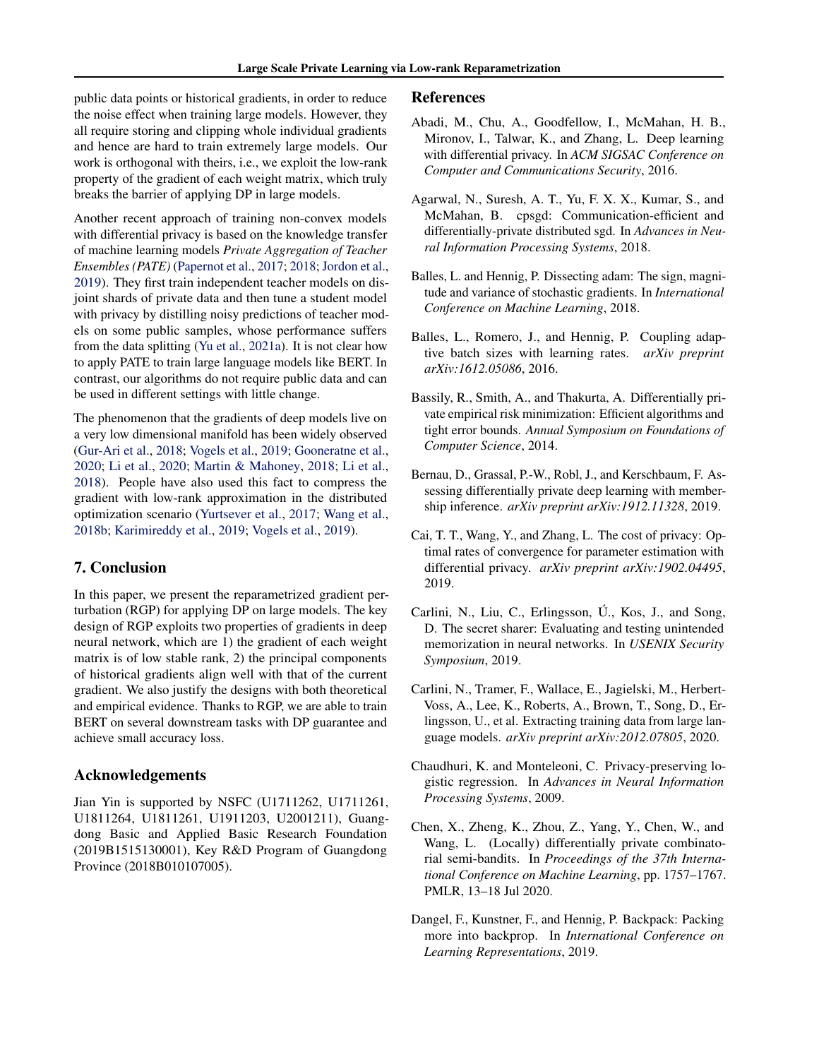<span id="page-8-0"></span>public data points or historical gradients, in order to reduce the noise effect when training large models. However, they all require storing and clipping whole individual gradients and hence are hard to train extremely large models. Our work is orthogonal with theirs, i.e., we exploit the low-rank property of the gradient of each weight matrix, which truly breaks the barrier of applying DP in large models.

Another recent approach of training non-convex models with differential privacy is based on the knowledge transfer of machine learning models *Private Aggregation of Teacher Ensembles (PATE)* [\(Papernot et al.,](#page-9-0) [2017;](#page-9-0) [2018;](#page-9-0) [Jordon et al.,](#page-9-0) [2019\)](#page-9-0). They first train independent teacher models on disjoint shards of private data and then tune a student model with privacy by distilling noisy predictions of teacher models on some public samples, whose performance suffers from the data splitting [\(Yu et al.,](#page-10-0) [2021a\)](#page-10-0). It is not clear how to apply PATE to train large language models like BERT. In contrast, our algorithms do not require public data and can be used in different settings with little change.

The phenomenon that the gradients of deep models live on a very low dimensional manifold has been widely observed [\(Gur-Ari et al.,](#page-9-0) [2018;](#page-9-0) [Vogels et al.,](#page-10-0) [2019;](#page-10-0) [Gooneratne et al.,](#page-9-0) [2020;](#page-9-0) [Li et al.,](#page-9-0) [2020;](#page-9-0) [Martin & Mahoney,](#page-9-0) [2018;](#page-9-0) [Li et al.,](#page-9-0) [2018\)](#page-9-0). People have also used this fact to compress the gradient with low-rank approximation in the distributed optimization scenario [\(Yurtsever et al.,](#page-10-0) [2017;](#page-10-0) [Wang et al.,](#page-10-0) [2018b;](#page-10-0) [Karimireddy et al.,](#page-9-0) [2019;](#page-9-0) [Vogels et al.,](#page-10-0) [2019\)](#page-10-0).

# 7. Conclusion

In this paper, we present the reparametrized gradient perturbation (RGP) for applying DP on large models. The key design of RGP exploits two properties of gradients in deep neural network, which are 1) the gradient of each weight matrix is of low stable rank, 2) the principal components of historical gradients align well with that of the current gradient. We also justify the designs with both theoretical and empirical evidence. Thanks to RGP, we are able to train BERT on several downstream tasks with DP guarantee and achieve small accuracy loss.

## Acknowledgements

Jian Yin is supported by NSFC (U1711262, U1711261, U1811264, U1811261, U1911203, U2001211), Guangdong Basic and Applied Basic Research Foundation (2019B1515130001), Key R&D Program of Guangdong Province (2018B010107005).

#### References

- Abadi, M., Chu, A., Goodfellow, I., McMahan, H. B., Mironov, I., Talwar, K., and Zhang, L. Deep learning with differential privacy. In *ACM SIGSAC Conference on Computer and Communications Security*, 2016.
- Agarwal, N., Suresh, A. T., Yu, F. X. X., Kumar, S., and McMahan, B. cpsgd: Communication-efficient and differentially-private distributed sgd. In *Advances in Neural Information Processing Systems*, 2018.
- Balles, L. and Hennig, P. Dissecting adam: The sign, magnitude and variance of stochastic gradients. In *International Conference on Machine Learning*, 2018.
- Balles, L., Romero, J., and Hennig, P. Coupling adaptive batch sizes with learning rates. *arXiv preprint arXiv:1612.05086*, 2016.
- Bassily, R., Smith, A., and Thakurta, A. Differentially private empirical risk minimization: Efficient algorithms and tight error bounds. *Annual Symposium on Foundations of Computer Science*, 2014.
- Bernau, D., Grassal, P.-W., Robl, J., and Kerschbaum, F. Assessing differentially private deep learning with membership inference. *arXiv preprint arXiv:1912.11328*, 2019.
- Cai, T. T., Wang, Y., and Zhang, L. The cost of privacy: Optimal rates of convergence for parameter estimation with differential privacy. *arXiv preprint arXiv:1902.04495*, 2019.
- Carlini, N., Liu, C., Erlingsson, Ú., Kos, J., and Song, D. The secret sharer: Evaluating and testing unintended memorization in neural networks. In *USENIX Security Symposium*, 2019.
- Carlini, N., Tramer, F., Wallace, E., Jagielski, M., Herbert-Voss, A., Lee, K., Roberts, A., Brown, T., Song, D., Erlingsson, U., et al. Extracting training data from large language models. *arXiv preprint arXiv:2012.07805*, 2020.
- Chaudhuri, K. and Monteleoni, C. Privacy-preserving logistic regression. In *Advances in Neural Information Processing Systems*, 2009.
- Chen, X., Zheng, K., Zhou, Z., Yang, Y., Chen, W., and Wang, L. (Locally) differentially private combinatorial semi-bandits. In *Proceedings of the 37th International Conference on Machine Learning*, pp. 1757–1767. PMLR, 13–18 Jul 2020.
- Dangel, F., Kunstner, F., and Hennig, P. Backpack: Packing more into backprop. In *International Conference on Learning Representations*, 2019.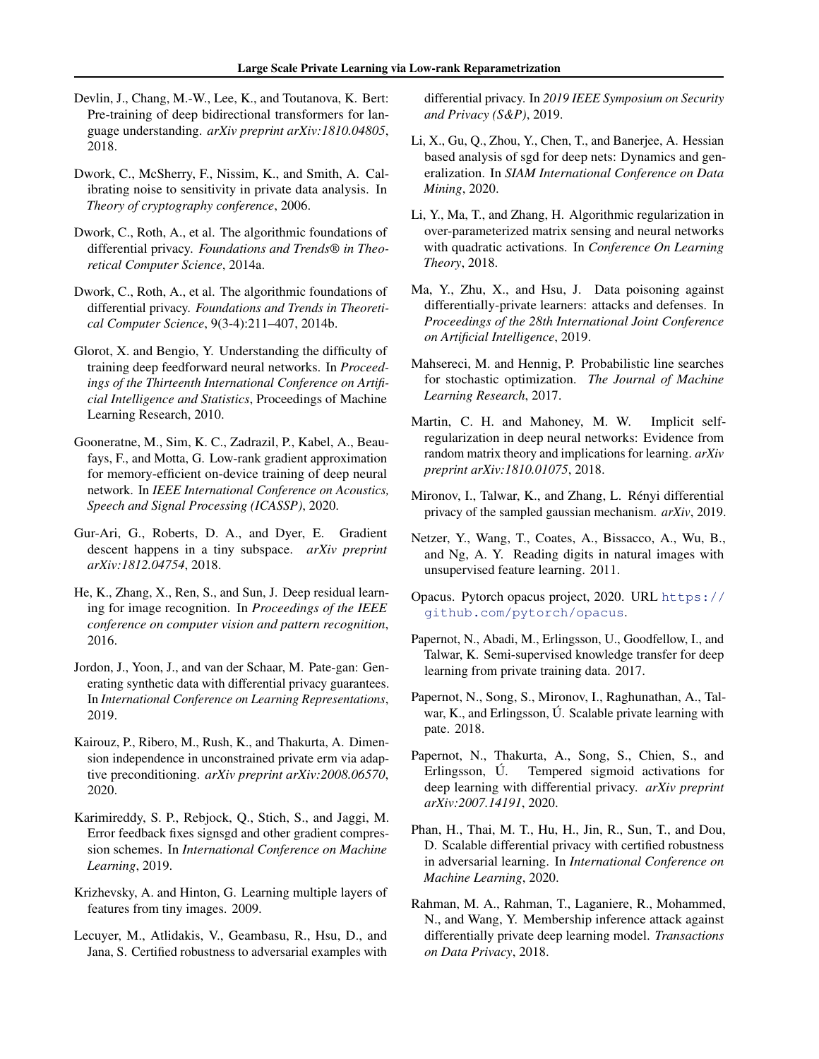- <span id="page-9-0"></span>Devlin, J., Chang, M.-W., Lee, K., and Toutanova, K. Bert: Pre-training of deep bidirectional transformers for language understanding. *arXiv preprint arXiv:1810.04805*, 2018.
- Dwork, C., McSherry, F., Nissim, K., and Smith, A. Calibrating noise to sensitivity in private data analysis. In *Theory of cryptography conference*, 2006.
- Dwork, C., Roth, A., et al. The algorithmic foundations of differential privacy. *Foundations and Trends® in Theoretical Computer Science*, 2014a.
- Dwork, C., Roth, A., et al. The algorithmic foundations of differential privacy. *Foundations and Trends in Theoretical Computer Science*, 9(3-4):211–407, 2014b.
- Glorot, X. and Bengio, Y. Understanding the difficulty of training deep feedforward neural networks. In *Proceedings of the Thirteenth International Conference on Artificial Intelligence and Statistics*, Proceedings of Machine Learning Research, 2010.
- Gooneratne, M., Sim, K. C., Zadrazil, P., Kabel, A., Beaufays, F., and Motta, G. Low-rank gradient approximation for memory-efficient on-device training of deep neural network. In *IEEE International Conference on Acoustics, Speech and Signal Processing (ICASSP)*, 2020.
- Gur-Ari, G., Roberts, D. A., and Dyer, E. Gradient descent happens in a tiny subspace. *arXiv preprint arXiv:1812.04754*, 2018.
- He, K., Zhang, X., Ren, S., and Sun, J. Deep residual learning for image recognition. In *Proceedings of the IEEE conference on computer vision and pattern recognition*, 2016.
- Jordon, J., Yoon, J., and van der Schaar, M. Pate-gan: Generating synthetic data with differential privacy guarantees. In *International Conference on Learning Representations*, 2019.
- Kairouz, P., Ribero, M., Rush, K., and Thakurta, A. Dimension independence in unconstrained private erm via adaptive preconditioning. *arXiv preprint arXiv:2008.06570*, 2020.
- Karimireddy, S. P., Rebjock, Q., Stich, S., and Jaggi, M. Error feedback fixes signsgd and other gradient compression schemes. In *International Conference on Machine Learning*, 2019.
- Krizhevsky, A. and Hinton, G. Learning multiple layers of features from tiny images. 2009.
- Lecuyer, M., Atlidakis, V., Geambasu, R., Hsu, D., and Jana, S. Certified robustness to adversarial examples with

differential privacy. In *2019 IEEE Symposium on Security and Privacy (S&P)*, 2019.

- Li, X., Gu, Q., Zhou, Y., Chen, T., and Banerjee, A. Hessian based analysis of sgd for deep nets: Dynamics and generalization. In *SIAM International Conference on Data Mining*, 2020.
- Li, Y., Ma, T., and Zhang, H. Algorithmic regularization in over-parameterized matrix sensing and neural networks with quadratic activations. In *Conference On Learning Theory*, 2018.
- Ma, Y., Zhu, X., and Hsu, J. Data poisoning against differentially-private learners: attacks and defenses. In *Proceedings of the 28th International Joint Conference on Artificial Intelligence*, 2019.
- Mahsereci, M. and Hennig, P. Probabilistic line searches for stochastic optimization. *The Journal of Machine Learning Research*, 2017.
- Martin, C. H. and Mahoney, M. W. Implicit selfregularization in deep neural networks: Evidence from random matrix theory and implications for learning. *arXiv preprint arXiv:1810.01075*, 2018.
- Mironov, I., Talwar, K., and Zhang, L. Rényi differential privacy of the sampled gaussian mechanism. *arXiv*, 2019.
- Netzer, Y., Wang, T., Coates, A., Bissacco, A., Wu, B., and Ng, A. Y. Reading digits in natural images with unsupervised feature learning. 2011.
- Opacus. Pytorch opacus project, 2020. URL [https://](https://github.com/pytorch/opacus) [github.com/pytorch/opacus](https://github.com/pytorch/opacus).
- Papernot, N., Abadi, M., Erlingsson, U., Goodfellow, I., and Talwar, K. Semi-supervised knowledge transfer for deep learning from private training data. 2017.
- Papernot, N., Song, S., Mironov, I., Raghunathan, A., Talwar, K., and Erlingsson, Ú. Scalable private learning with pate. 2018.
- Papernot, N., Thakurta, A., Song, S., Chien, S., and Erlingsson, Ú. Tempered sigmoid activations for deep learning with differential privacy. *arXiv preprint arXiv:2007.14191*, 2020.
- Phan, H., Thai, M. T., Hu, H., Jin, R., Sun, T., and Dou, D. Scalable differential privacy with certified robustness in adversarial learning. In *International Conference on Machine Learning*, 2020.
- Rahman, M. A., Rahman, T., Laganiere, R., Mohammed, N., and Wang, Y. Membership inference attack against differentially private deep learning model. *Transactions on Data Privacy*, 2018.